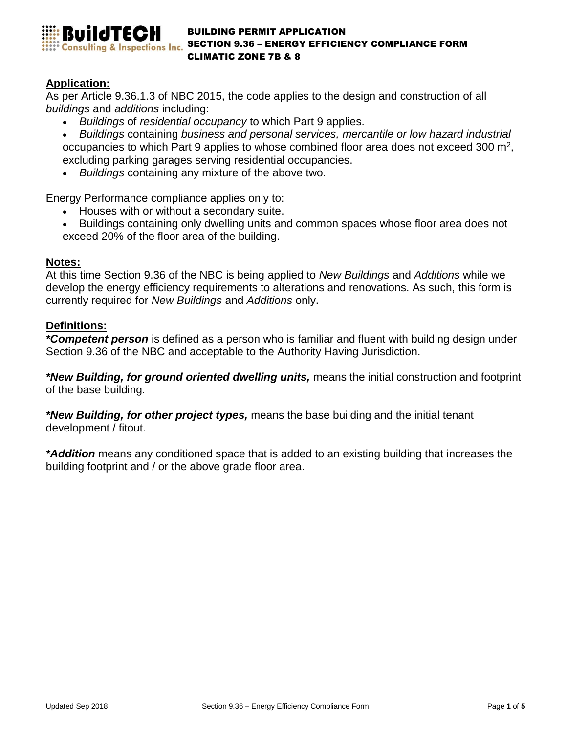

### BUILDING PERMIT APPLICATION SECTION 9.36 – ENERGY EFFICIENCY COMPLIANCE FORM CLIMATIC ZONE 7B & 8

# **Application:**

As per Article 9.36.1.3 of NBC 2015, the code applies to the design and construction of all *buildings* and *additions* including:

• *Buildings* of *residential occupancy* to which Part 9 applies.

• *Buildings* containing *business and personal services, mercantile or low hazard industrial*  occupancies to which Part 9 applies to whose combined floor area does not exceed 300  $m^2$ , excluding parking garages serving residential occupancies.

• *Buildings* containing any mixture of the above two.

Energy Performance compliance applies only to:

- Houses with or without a secondary suite.
- Buildings containing only dwelling units and common spaces whose floor area does not exceed 20% of the floor area of the building.

### **Notes:**

At this time Section 9.36 of the NBC is being applied to *New Buildings* and *Additions* while we develop the energy efficiency requirements to alterations and renovations. As such, this form is currently required for *New Buildings* and *Additions* only.

### **Definitions:**

*\*Competent person* is defined as a person who is familiar and fluent with building design under Section 9.36 of the NBC and acceptable to the Authority Having Jurisdiction.

*\*New Building, for ground oriented dwelling units,* means the initial construction and footprint of the base building.

*\*New Building, for other project types,* means the base building and the initial tenant development / fitout.

*\*Addition* means any conditioned space that is added to an existing building that increases the building footprint and / or the above grade floor area.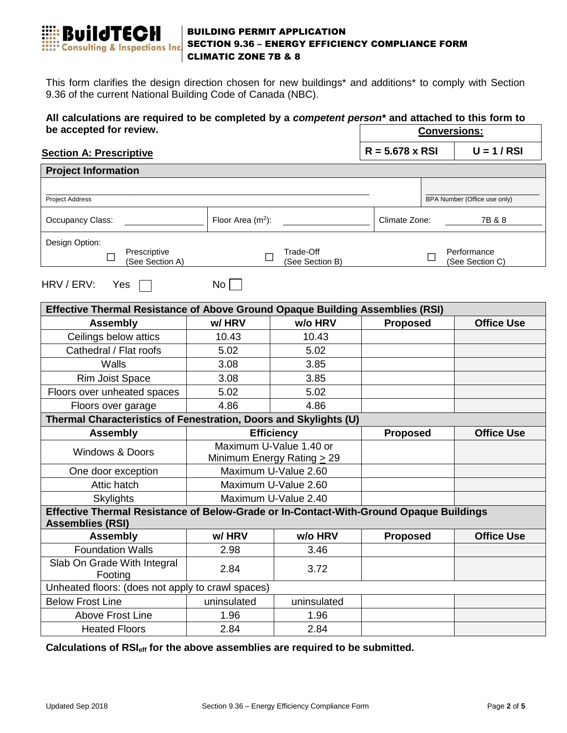

### BUILDING PERMIT APPLICATION SECTION 9.36 – ENERGY EFFICIENCY COMPLIANCE FORM CLIMATIC ZONE 7B & 8

This form clarifies the design direction chosen for new buildings\* and additions\* to comply with Section 9.36 of the current National Building Code of Canada (NBC).

#### **All calculations are required to be completed by a** *competent person\** **and attached to this form to be accepted for review. Conversions:**

### **Section A: Prescriptive**

 $R = 5.678 \times RSI$ 

|  |  | , |  |
|--|--|---|--|
|  |  |   |  |

| <b>Project Information</b>                                                             |                      |                                                            |                 |                                |                   |  |
|----------------------------------------------------------------------------------------|----------------------|------------------------------------------------------------|-----------------|--------------------------------|-------------------|--|
|                                                                                        |                      |                                                            |                 |                                |                   |  |
| <b>Project Address</b>                                                                 |                      |                                                            |                 | BPA Number (Office use only)   |                   |  |
| Occupancy Class:                                                                       |                      | Floor Area $(m2)$ :                                        |                 | Climate Zone:                  | 7B & 8            |  |
| Design Option:                                                                         |                      |                                                            |                 |                                |                   |  |
| Prescriptive<br>П<br>(See Section A)                                                   |                      | Trade-Off<br>$\Box$<br>(See Section B)                     |                 | Performance<br>(See Section C) |                   |  |
| No <sub>1</sub><br>HRV / ERV:<br>Yes                                                   |                      |                                                            |                 |                                |                   |  |
| Effective Thermal Resistance of Above Ground Opaque Building Assemblies (RSI)          |                      |                                                            |                 |                                |                   |  |
| <b>Assembly</b>                                                                        | w/HRV                | w/o HRV                                                    | <b>Proposed</b> |                                | <b>Office Use</b> |  |
| Ceilings below attics                                                                  | 10.43                | 10.43                                                      |                 |                                |                   |  |
| Cathedral / Flat roofs                                                                 | 5.02                 | 5.02                                                       |                 |                                |                   |  |
| Walls                                                                                  | 3.08                 | 3.85                                                       |                 |                                |                   |  |
| <b>Rim Joist Space</b>                                                                 | 3.08                 | 3.85                                                       |                 |                                |                   |  |
| Floors over unheated spaces                                                            | 5.02                 | 5.02                                                       |                 |                                |                   |  |
| Floors over garage                                                                     | 4.86                 | 4.86                                                       |                 |                                |                   |  |
| Thermal Characteristics of Fenestration, Doors and Skylights (U)                       |                      |                                                            |                 |                                |                   |  |
| <b>Assembly</b>                                                                        |                      | <b>Efficiency</b>                                          |                 | <b>Proposed</b>                | <b>Office Use</b> |  |
| <b>Windows &amp; Doors</b>                                                             |                      | Maximum U-Value 1.40 or<br>Minimum Energy Rating $\geq$ 29 |                 |                                |                   |  |
| One door exception                                                                     | Maximum U-Value 2.60 |                                                            |                 |                                |                   |  |
| Attic hatch                                                                            |                      | Maximum U-Value 2.60                                       |                 |                                |                   |  |
| <b>Skylights</b>                                                                       |                      | Maximum U-Value 2.40                                       |                 |                                |                   |  |
| Effective Thermal Resistance of Below-Grade or In-Contact-With-Ground Opaque Buildings |                      |                                                            |                 |                                |                   |  |
| <b>Assemblies (RSI)</b>                                                                |                      |                                                            |                 |                                |                   |  |
| <b>Assembly</b>                                                                        | w/HRV                | w/o HRV                                                    | <b>Proposed</b> |                                | <b>Office Use</b> |  |
| <b>Foundation Walls</b>                                                                | 2.98                 | 3.46                                                       |                 |                                |                   |  |
| Slab On Grade With Integral<br>Footing                                                 | 2.84                 | 3.72                                                       |                 |                                |                   |  |
| Unheated floors: (does not apply to crawl spaces)                                      |                      |                                                            |                 |                                |                   |  |
| <b>Below Frost Line</b>                                                                | uninsulated          | uninsulated                                                |                 |                                |                   |  |
| <b>Above Frost Line</b>                                                                | 1.96                 | 1.96                                                       |                 |                                |                   |  |
| <b>Heated Floors</b>                                                                   | 2.84                 | 2.84                                                       |                 |                                |                   |  |

**Calculations of RSIeff for the above assemblies are required to be submitted.**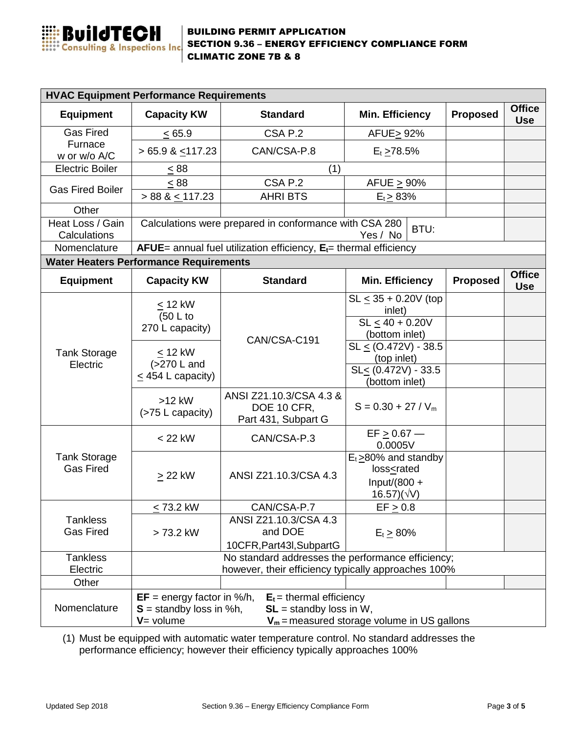

### BUILDING PERMIT APPLICATION SECTION 9.36 – ENERGY EFFICIENCY COMPLIANCE FORM CLIMATIC ZONE 7B & 8

| <b>HVAC Equipment Performance Requirements</b>                                                                                                                                                        |                                                                            |                                                               |                                                                               |                 |                             |  |
|-------------------------------------------------------------------------------------------------------------------------------------------------------------------------------------------------------|----------------------------------------------------------------------------|---------------------------------------------------------------|-------------------------------------------------------------------------------|-----------------|-----------------------------|--|
| <b>Equipment</b>                                                                                                                                                                                      | <b>Capacity KW</b>                                                         | <b>Standard</b>                                               | <b>Min. Efficiency</b>                                                        | <b>Proposed</b> | <b>Office</b><br><b>Use</b> |  |
| <b>Gas Fired</b>                                                                                                                                                                                      | < 65.9                                                                     | CSA P.2                                                       | AFUE > 92%                                                                    |                 |                             |  |
| Furnace<br>w or w/o A/C                                                                                                                                                                               | $> 65.9$ & $\leq$ 117.23                                                   | CAN/CSA-P.8                                                   | $E_t \ge 78.5\%$                                                              |                 |                             |  |
| <b>Electric Boiler</b>                                                                                                                                                                                | $\leq 88$<br>(1)                                                           |                                                               |                                                                               |                 |                             |  |
| <b>Gas Fired Boiler</b>                                                                                                                                                                               | < 88                                                                       | CSA P.2                                                       | AFUE $\geq$ 90%                                                               |                 |                             |  |
|                                                                                                                                                                                                       | $> 88$ & $\leq$ 117.23                                                     | <b>AHRI BTS</b>                                               | $E_t \geq 83\%$                                                               |                 |                             |  |
| Other                                                                                                                                                                                                 |                                                                            |                                                               |                                                                               |                 |                             |  |
| Heat Loss / Gain<br>Calculations                                                                                                                                                                      | Calculations were prepared in conformance with CSA 280<br>BTU:<br>Yes / No |                                                               |                                                                               |                 |                             |  |
| Nomenclature                                                                                                                                                                                          | $A FUE =$ annual fuel utilization efficiency, $E_t =$ thermal efficiency   |                                                               |                                                                               |                 |                             |  |
|                                                                                                                                                                                                       | <b>Water Heaters Performance Requirements</b>                              |                                                               |                                                                               |                 |                             |  |
| <b>Equipment</b>                                                                                                                                                                                      | <b>Capacity KW</b>                                                         | <b>Standard</b>                                               | <b>Min. Efficiency</b>                                                        | <b>Proposed</b> | <b>Office</b><br><b>Use</b> |  |
|                                                                                                                                                                                                       | $< 12$ kW<br>(50 L to                                                      |                                                               | $SL \le 35 + 0.20V$ (top<br>inlet)                                            |                 |                             |  |
|                                                                                                                                                                                                       | 270 L capacity)                                                            |                                                               | $SL \le 40 + 0.20V$                                                           |                 |                             |  |
|                                                                                                                                                                                                       |                                                                            | CAN/CSA-C191                                                  | (bottom inlet)<br>$SL < (0.472V) - 38.5$                                      |                 |                             |  |
| <b>Tank Storage</b>                                                                                                                                                                                   | $\leq$ 12 kW<br>(>270 L and<br>$\leq$ 454 L capacity)                      |                                                               | (top inlet)                                                                   |                 |                             |  |
| Electric                                                                                                                                                                                              |                                                                            |                                                               | SL< (0.472V) - 33.5<br>(bottom inlet)                                         |                 |                             |  |
|                                                                                                                                                                                                       | $>12$ kW<br>(>75 L capacity)                                               | ANSI Z21.10.3/CSA 4.3 &<br>DOE 10 CFR,<br>Part 431, Subpart G | $S = 0.30 + 27 / V_m$                                                         |                 |                             |  |
| <b>Tank Storage</b><br><b>Gas Fired</b>                                                                                                                                                               | $<$ 22 kW                                                                  | CAN/CSA-P.3                                                   | $EF \ge 0.67$ —<br>0.0005V                                                    |                 |                             |  |
|                                                                                                                                                                                                       |                                                                            | ANSI Z21.10.3/CSA 4.3                                         | $E_t \geq 80\%$ and standby<br>loss <rated< td=""><td></td><td></td></rated<> |                 |                             |  |
|                                                                                                                                                                                                       | $\geq$ 22 kW                                                               |                                                               | Input/(800 $+$<br>$16.57)(\sqrt{V})$                                          |                 |                             |  |
|                                                                                                                                                                                                       | $\leq$ 73.2 kW                                                             | CAN/CSA-P.7                                                   | $EF \geq 0.8$                                                                 |                 |                             |  |
| <b>Tankless</b><br><b>Gas Fired</b>                                                                                                                                                                   | > 73.2 kW                                                                  | ANSI Z21.10.3/CSA 4.3<br>and DOE<br>10CFR, Part43I, SubpartG  | $E_t \ge 80\%$                                                                |                 |                             |  |
| <b>Tankless</b>                                                                                                                                                                                       | No standard addresses the performance efficiency;                          |                                                               |                                                                               |                 |                             |  |
| Electric                                                                                                                                                                                              | however, their efficiency typically approaches 100%                        |                                                               |                                                                               |                 |                             |  |
| Other                                                                                                                                                                                                 |                                                                            |                                                               |                                                                               |                 |                             |  |
| $EF = energy factor in %/h,$<br>$E_t$ = thermal efficiency<br>Nomenclature<br>$S =$ standby loss in %h,<br>$SL =$ standby loss in W,<br>$V = volume$<br>$V_m$ = measured storage volume in US gallons |                                                                            |                                                               |                                                                               |                 |                             |  |

(1) Must be equipped with automatic water temperature control. No standard addresses the performance efficiency; however their efficiency typically approaches 100%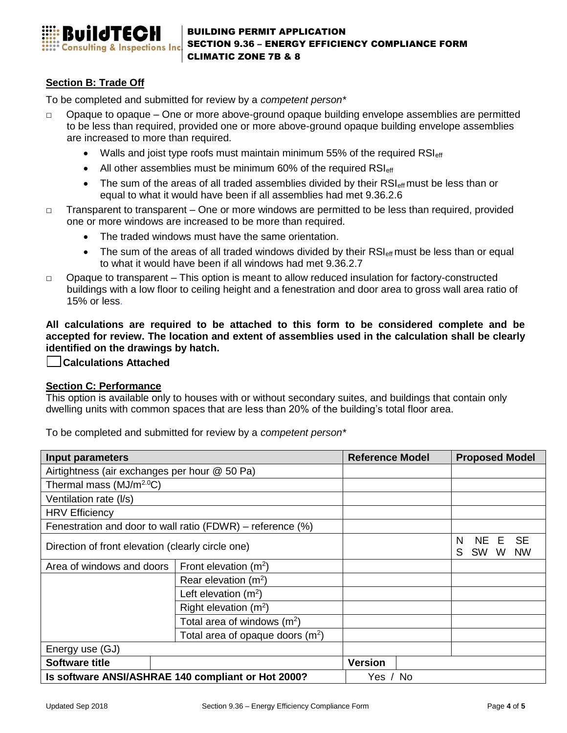

## **Section B: Trade Off**

To be completed and submitted for review by a *competent person\** 

- Opaque to opaque One or more above-ground opaque building envelope assemblies are permitted to be less than required, provided one or more above-ground opaque building envelope assemblies are increased to more than required.
	- Walls and joist type roofs must maintain minimum 55% of the required  $\rm{RS}_{\rm{eff}}$
	- All other assemblies must be minimum 60% of the required  $RSI_{\text{eff}}$
	- The sum of the areas of all traded assemblies divided by their  $RSI_{\text{eff}}$  must be less than or equal to what it would have been if all assemblies had met 9.36.2.6
- $\Box$  Transparent to transparent One or more windows are permitted to be less than required, provided one or more windows are increased to be more than required.
	- The traded windows must have the same orientation.
	- The sum of the areas of all traded windows divided by their  $\text{RSI}_{\text{eff}}$  must be less than or equal to what it would have been if all windows had met 9.36.2.7
- $\Box$  Opaque to transparent This option is meant to allow reduced insulation for factory-constructed buildings with a low floor to ceiling height and a fenestration and door area to gross wall area ratio of 15% or less.

**All calculations are required to be attached to this form to be considered complete and be accepted for review. The location and extent of assemblies used in the calculation shall be clearly identified on the drawings by hatch.**

 **Calculations Attached**

### **Section C: Performance**

This option is available only to houses with or without secondary suites, and buildings that contain only dwelling units with common spaces that are less than 20% of the building's total floor area.

To be completed and submitted for review by a *competent person\** 

| Input parameters                                     |                                                               | <b>Reference Model</b> | <b>Proposed Model</b>                                          |  |  |
|------------------------------------------------------|---------------------------------------------------------------|------------------------|----------------------------------------------------------------|--|--|
| Airtightness (air exchanges per hour @ 50 Pa)        |                                                               |                        |                                                                |  |  |
| Thermal mass $(MJ/m2.0C)$                            |                                                               |                        |                                                                |  |  |
| Ventilation rate (I/s)                               |                                                               |                        |                                                                |  |  |
| <b>HRV Efficiency</b>                                |                                                               |                        |                                                                |  |  |
|                                                      | Fenestration and door to wall ratio (FDWR) – reference $(\%)$ |                        |                                                                |  |  |
| Direction of front elevation (clearly circle one)    |                                                               |                        | <b>SE</b><br>N<br>NE.<br>E<br>S<br><b>SW</b><br><b>NW</b><br>W |  |  |
| Area of windows and doors<br>Front elevation $(m^2)$ |                                                               |                        |                                                                |  |  |
|                                                      | Rear elevation $(m^2)$                                        |                        |                                                                |  |  |
|                                                      | Left elevation $(m^2)$                                        |                        |                                                                |  |  |
|                                                      | Right elevation $(m^2)$                                       |                        |                                                                |  |  |
|                                                      | Total area of windows $(m^2)$                                 |                        |                                                                |  |  |
|                                                      | Total area of opaque doors $(m^2)$                            |                        |                                                                |  |  |
| Energy use (GJ)                                      |                                                               |                        |                                                                |  |  |
| <b>Software title</b>                                |                                                               | <b>Version</b>         |                                                                |  |  |
|                                                      | Is software ANSI/ASHRAE 140 compliant or Hot 2000?            | Yes / No               |                                                                |  |  |